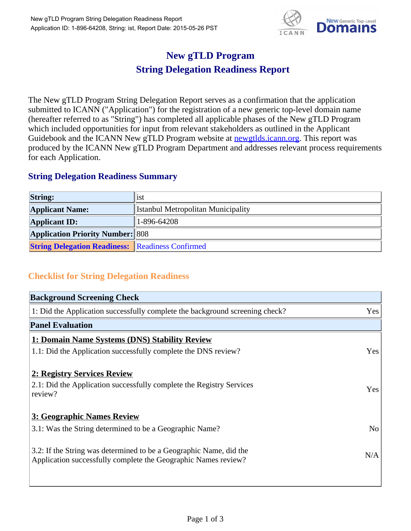

## **New gTLD Program String Delegation Readiness Report**

The New gTLD Program String Delegation Report serves as a confirmation that the application submitted to ICANN ("Application") for the registration of a new generic top-level domain name (hereafter referred to as "String") has completed all applicable phases of the New gTLD Program which included opportunities for input from relevant stakeholders as outlined in the Applicant Guidebook and the ICANN New gTLD Program website at newgtlds.icann.org. This report was produced by the ICANN New gTLD Program Department and addresses relevant process requirements for each Application.

## **String Delegation Readiness Summary**

| <b>String:</b>                                          | <sup>1</sup> st                           |
|---------------------------------------------------------|-------------------------------------------|
| <b>Applicant Name:</b>                                  | <b>Istanbul Metropolitan Municipality</b> |
| <b>Applicant ID:</b>                                    | $1 - 896 - 64208$                         |
| <b>Application Priority Number: 808</b>                 |                                           |
| <b>String Delegation Readiness:</b> Readiness Confirmed |                                           |

## **Checklist for String Delegation Readiness**

| <b>Background Screening Check</b>                                               |                |
|---------------------------------------------------------------------------------|----------------|
| 1: Did the Application successfully complete the background screening check?    | Yes            |
| <b>Panel Evaluation</b>                                                         |                |
| 1: Domain Name Systems (DNS) Stability Review                                   |                |
| 1.1: Did the Application successfully complete the DNS review?                  | Yes            |
| 2: Registry Services Review                                                     |                |
|                                                                                 |                |
| 2.1: Did the Application successfully complete the Registry Services<br>review? | <b>Yes</b>     |
|                                                                                 |                |
| 3: Geographic Names Review                                                      |                |
| 3.1: Was the String determined to be a Geographic Name?                         | N <sub>0</sub> |
| 3.2: If the String was determined to be a Geographic Name, did the              |                |
| Application successfully complete the Geographic Names review?                  | N/A            |
|                                                                                 |                |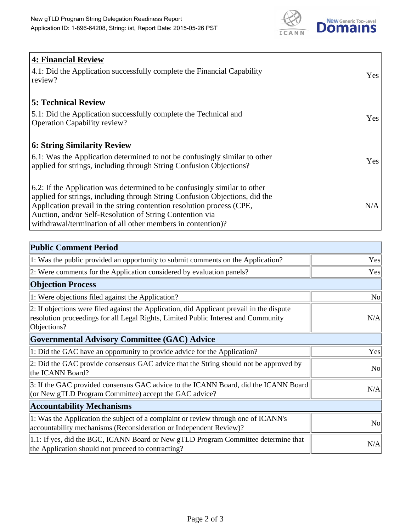

| 4: Financial Review<br>4.1: Did the Application successfully complete the Financial Capability<br>review?                                                                                                                                                                                                                                                    | <b>Yes</b> |
|--------------------------------------------------------------------------------------------------------------------------------------------------------------------------------------------------------------------------------------------------------------------------------------------------------------------------------------------------------------|------------|
| <b>5: Technical Review</b><br>5.1: Did the Application successfully complete the Technical and<br><b>Operation Capability review?</b>                                                                                                                                                                                                                        | Yes        |
| <b>6: String Similarity Review</b><br>$\vert$ 6.1: Was the Application determined to not be confusingly similar to other<br>applied for strings, including through String Confusion Objections?                                                                                                                                                              | Yes        |
| 6.2: If the Application was determined to be confusingly similar to other<br>applied for strings, including through String Confusion Objections, did the<br>Application prevail in the string contention resolution process (CPE,<br>Auction, and/or Self-Resolution of String Contention via<br>withdrawal/termination of all other members in contention)? | N/A        |

| <b>Public Comment Period</b>                                                                                                                                                                   |                |
|------------------------------------------------------------------------------------------------------------------------------------------------------------------------------------------------|----------------|
| 1: Was the public provided an opportunity to submit comments on the Application?                                                                                                               | Yes            |
| 2: Were comments for the Application considered by evaluation panels?                                                                                                                          | Yes            |
| <b>Objection Process</b>                                                                                                                                                                       |                |
| 1: Were objections filed against the Application?                                                                                                                                              | N <sub>o</sub> |
| 2: If objections were filed against the Application, did Applicant prevail in the dispute<br>resolution proceedings for all Legal Rights, Limited Public Interest and Community<br>Objections? | N/A            |
| <b>Governmental Advisory Committee (GAC) Advice</b>                                                                                                                                            |                |
| 1: Did the GAC have an opportunity to provide advice for the Application?                                                                                                                      | Yes            |
| 2: Did the GAC provide consensus GAC advice that the String should not be approved by<br>the ICANN Board?                                                                                      | N <sub>o</sub> |
| 3: If the GAC provided consensus GAC advice to the ICANN Board, did the ICANN Board<br>(or New gTLD Program Committee) accept the GAC advice?                                                  | N/A            |
| <b>Accountability Mechanisms</b>                                                                                                                                                               |                |
| 1: Was the Application the subject of a complaint or review through one of ICANN's<br>accountability mechanisms (Reconsideration or Independent Review)?                                       | N <sub>0</sub> |
| 1.1: If yes, did the BGC, ICANN Board or New gTLD Program Committee determine that<br>the Application should not proceed to contracting?                                                       | N/A            |